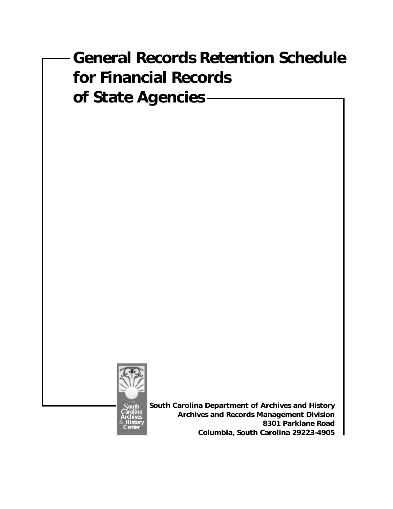# **General Records Retention Schedule for Financial Records of State Agencies**



**South Carolina Department of Archives and History Archives and Records Management Division 8301 Parklane Road Columbia, South Carolina 29223-4905**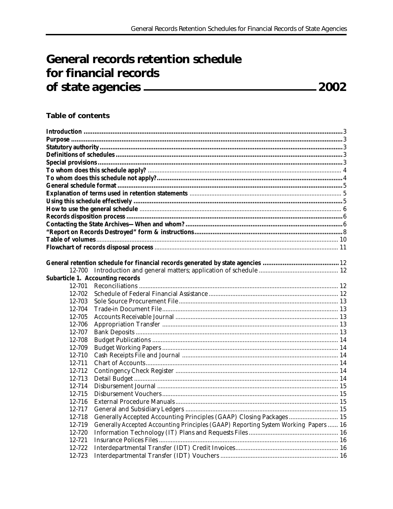# **General records retention schedule** for financial records

# **Table of contents**

| 12-700 |                                                                                     |  |
|--------|-------------------------------------------------------------------------------------|--|
|        | <b>Subarticle 1. Accounting records</b>                                             |  |
| 12-701 |                                                                                     |  |
| 12-702 |                                                                                     |  |
| 12-703 |                                                                                     |  |
| 12-704 |                                                                                     |  |
| 12-705 |                                                                                     |  |
| 12-706 |                                                                                     |  |
| 12-707 |                                                                                     |  |
| 12-708 |                                                                                     |  |
| 12-709 |                                                                                     |  |
| 12-710 |                                                                                     |  |
| 12-711 |                                                                                     |  |
| 12-712 |                                                                                     |  |
| 12-713 |                                                                                     |  |
| 12-714 |                                                                                     |  |
| 12-715 |                                                                                     |  |
| 12-716 |                                                                                     |  |
| 12-717 |                                                                                     |  |
| 12-718 | Generally Accepted Accounting Principles (GAAP) Closing Packages  15                |  |
| 12-719 | Generally Accepted Accounting Principles (GAAP) Reporting System Working Papers  16 |  |
| 12-720 |                                                                                     |  |
| 12-721 |                                                                                     |  |
| 12-722 |                                                                                     |  |
| 12-723 |                                                                                     |  |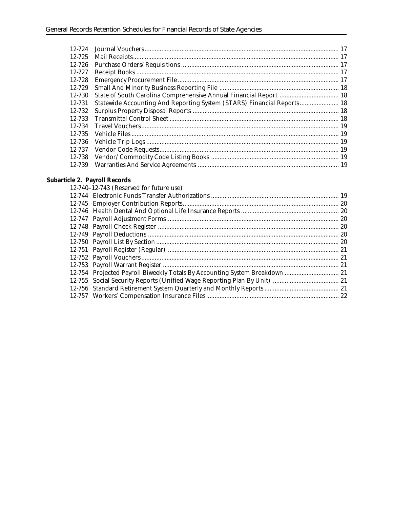| 12-725 |                                                                        |  |
|--------|------------------------------------------------------------------------|--|
| 12-726 |                                                                        |  |
| 12-727 |                                                                        |  |
| 12-728 |                                                                        |  |
| 12-729 |                                                                        |  |
| 12-730 |                                                                        |  |
| 12-731 | Statewide Accounting And Reporting System (STARS) Financial Reports 18 |  |
| 12-732 |                                                                        |  |
| 12-733 |                                                                        |  |
| 12-734 |                                                                        |  |
| 12-735 |                                                                        |  |
| 12-736 |                                                                        |  |
| 12-737 |                                                                        |  |
| 12-738 |                                                                        |  |
| 12-739 |                                                                        |  |
|        |                                                                        |  |

#### **Subarticle 2. Payroll Records**

| $12-740-12-743$ (Reserved for future use)                                   |  |
|-----------------------------------------------------------------------------|--|
|                                                                             |  |
|                                                                             |  |
|                                                                             |  |
|                                                                             |  |
|                                                                             |  |
|                                                                             |  |
|                                                                             |  |
|                                                                             |  |
|                                                                             |  |
|                                                                             |  |
| 12-754 Projected Payroll Biweekly Totals By Accounting System Breakdown  21 |  |
|                                                                             |  |
|                                                                             |  |
|                                                                             |  |
|                                                                             |  |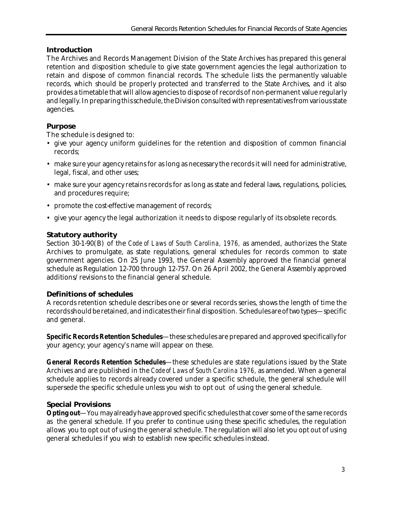# **Introduction**

The Archives and Records Management Division of the State Archives has prepared this general retention and disposition schedule to give state government agencies the legal authorization to retain and dispose of common financial records. The schedule lists the permanently valuable records, which should be properly protected and transferred to the State Archives, and it also provides a timetable that will allow agencies to dispose of records of non-permanent value regularly and legally. In preparing this schedule, the Division consulted with representatives from various state agencies.

# **Purpose**

The schedule is designed to:

- give your agency uniform guidelines for the retention and disposition of common financial records;
- make sure your agency retains for as long as necessary the records it will need for administrative, legal, fiscal, and other uses;
- make sure your agency retains records for as long as state and federal laws, regulations, policies, and procedures require;
- promote the cost-effective management of records;
- give your agency the legal authorization it needs to dispose regularly of its obsolete records.

# **Statutory authority**

Section 30-1-90(B) of the *Code of Laws of South Carolina, 1976,* as amended, authorizes the State Archives to promulgate, as state regulations, general schedules for records common to state government agencies. On 25 June 1993, the General Assembly approved the financial general schedule as Regulation 12-700 through 12-757. On 26 April 2002, the General Assembly approved additions/revisions to the financial general schedule.

# **Definitions of schedules**

A records retention schedule describes one or several records series, shows the length of time the records should be retained, and indicates their final disposition. Schedules are of two types—specific and general.

**Specific Records Retention Schedules**—these schedules are prepared and approved specifically for your agency; your agency's name will appear on these.

**General Records Retention Schedules**—these schedules are state regulations issued by the State Archives and are published in the *Code of Laws of South Carolina 1976,* as amended. When a general schedule applies to records already covered under a specific schedule, the general schedule will supersede the specific schedule unless you wish to opt out of using the general schedule.

# **Special Provisions**

**Opting out**—You may already have approved specific schedules that cover some of the same records as the general schedule. If you prefer to continue using these specific schedules, the regulation allows you to opt out of using the general schedule. The regulation will also let you opt out of using general schedules if you wish to establish new specific schedules instead.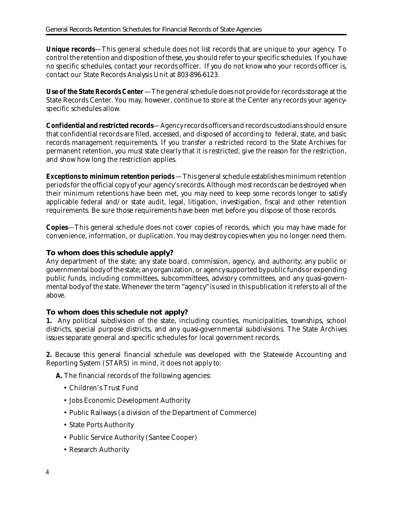**Unique records**—This general schedule does not list records that are unique to your agency. To control the retention and disposition of these, you should refer to your specific schedules. If you have no specific schedules, contact your records officer. If you do not know who your records officer is, contact our State Records Analysis Unit at 803-896-6123.

Use of the State Records Center -The general schedule does not provide for records storage at the State Records Center. You may, however, continue to store at the Center any records your agencyspecific schedules allow.

**Confidential and restricted records**—Agency records officers and records custodians should ensure that confidential records are filed, accessed, and disposed of according to federal, state, and basic records management requirements. If you transfer a restricted record to the State Archives for permanent retention, you must state clearly that it is restricted, give the reason for the restriction, and show how long the restriction applies.

**Exceptions to minimum retention periods** —This general schedule establishes minimum retention periods for the official copy of your agency's records. Although most records can be destroyed when their minimum retentions have been met, you may need to keep some records longer to satisfy applicable federal and/or state audit, legal, litigation, investigation, fiscal and other retention requirements. Be sure those requirements have been met before you dispose of those records.

**Copies**—This general schedule does not cover copies of records, which you may have made for convenience, information, or duplication. You may destroy copies when you no longer need them.

# **To whom does this schedule apply?**

Any department of the state; any state board, commission, agency, and authority; any public or governmental body of the state; any organization, or agency supported by public funds or expending public funds, including committees, subcommittees, advisory committees, and any quasi-governmental body of the state. Whenever the term "agency" is used in this publication it refers to all of the above.

# **To whom does this schedule not apply?**

**1.** Any political subdivision of the state, including counties, municipalities, townships, school districts, special purpose districts, and any quasi-governmental subdivisions. The State Archives issues separate general and specific schedules for local government records.

**2.** Because this general financial schedule was developed with the Statewide Accounting and Reporting System (STARS) in mind, it does not apply to:

**A.** The financial records of the following agencies:

- Children's Trust Fund
- Jobs Economic Development Authority
- Public Railways (a division of the Department of Commerce)
- State Ports Authority
- Public Service Authority (Santee Cooper)
- Research Authority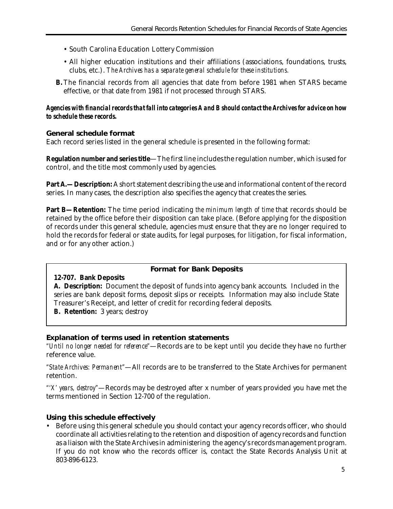- South Carolina Education Lottery Commission
- All higher education institutions and their affiliations (associations, foundations, trusts, clubs, etc.). *The Archives has a separate general schedule for these institutions.*
- **B.**The financial records from all agencies that date from before 1981 when STARS became effective, or that date from 1981 if not processed through STARS.

#### *Agencies with financial records that fall into categories A and B should contact the Archives for advice on how to schedule these records.*

#### **General schedule format**

Each record series listed in the general schedule is presented in the following format:

**Regulation number and series title**—The first line includes the regulation number, which is used for control, and the title most commonly used by agencies.

**Part A.—Description:** A short statement describing the use and informational content of the record series. In many cases, the description also specifies the agency that creates the series.

**Part B—Retention:** The time period indicating *the minimum length of time* that records should be retained by the office before their disposition can take place. (Before applying for the disposition of records under this general schedule, agencies must ensure that they are no longer required to hold the records for federal or state audits, for legal purposes, for litigation, for fiscal information, and or for any other action.)

#### **Format for Bank Deposits**

#### **12-707. Bank Deposits**

**A. Description:** Document the deposit of funds into agency bank accounts. Included in the series are bank deposit forms, deposit slips or receipts. Information may also include State Treasurer's Receipt, and letter of credit for recording federal deposits.

**B. Retention:** 3 years; destroy

#### **Explanation of terms used in retention statements**

*"Until no longer needed for reference"*—Records are to be kept until you decide they have no further reference value.

*"State Archives: Permanent"*—All records are to be transferred to the State Archives for permanent retention.

*"'X' years, destroy"*—Records may be destroyed after x number of years provided you have met the terms mentioned in Section 12-700 of the regulation.

#### **Using this schedule effectively**

• Before using this general schedule you should contact your agency records officer, who should coordinate all activities relating to the retention and disposition of agency records and function as a liaison with the State Archives in administering the agency's records management program. If you do not know who the records officer is, contact the State Records Analysis Unit at 803-896-6123.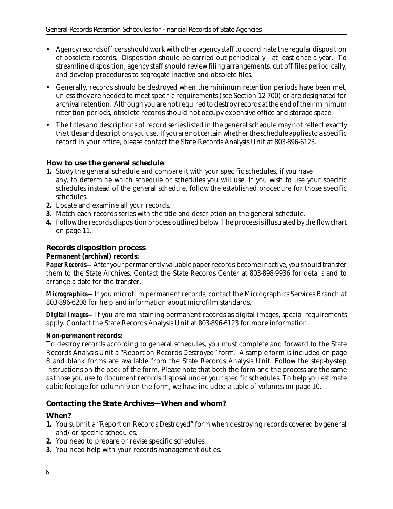- Agency records officers should work with other agency staff to coordinate the regular disposition of obsolete records. Disposition should be carried out periodically—at least once a year. To streamline disposition, agency staff should review filing arrangements, cut off files periodically, and develop procedures to segregate inactive and obsolete files.
- Generally, records should be destroyed when the minimum retention periods have been met, unless they are needed to meet specific requirements (see Section 12-700) or are designated for archival retention. Although you are not required to destroy records at the end of their minimum retention periods, obsolete records should not occupy expensive office and storage space.
- The titles and descriptions of record series listed in the general schedule may not reflect exactly the titles and descriptions you use. If you are not certain whether the schedule applies to a specific record in your office, please contact the State Records Analysis Unit at 803-896-6123.

#### **How to use the general schedule**

- **1.** Study the general schedule and compare it with your specific schedules, if you have any, to determine which schedule or schedules you will use. If you wish to use your specific schedules instead of the general schedule, follow the established procedure for those specific schedules.
- **2.** Locate and examine all your records.
- **3.** Match each records series with the title and description on the general schedule.
- **4.** Follow the records disposition process outlined below. The process is illustrated by the flow chart on page 11.

# **Records disposition process**

#### **Permanent (archival) records:**

*Paper Records—*After your permanently-valuable paper records become inactive, you should transfer them to the State Archives. Contact the State Records Center at 803-898-9936 for details and to arrange a date for the transfer.

*Micrographics—*If you microfilm permanent records, contact the Micrographics Services Branch at 803-896-6208 for help and information about microfilm standards.

*Digital Images—If* you are maintaining permanent records as digital images, special requirements apply. Contact the State Records Analysis Unit at 803-896-6123 for more information.

#### **Non-permanent records:**

To destroy records according to general schedules, you must complete and forward to the State Records Analysis Unit a "Report on Records Destroyed" form. A sample form is included on page 8 and blank forms are available from the State Records Analysis Unit. Follow the step-by-step instructions on the back of the form. Please note that both the form and the process are the same as those you use to document records disposal under your specific schedules. To help you estimate cubic footage for column 9 on the form, we have included a table of volumes on page 10.

#### **Contacting the State Archives—When and whom?**

#### **When?**

- **1.** You submit a "Report on Records Destroyed" form when destroying records covered by general and/or specific schedules.
- **2.** You need to prepare or revise specific schedules.
- **3.** You need help with your records management duties.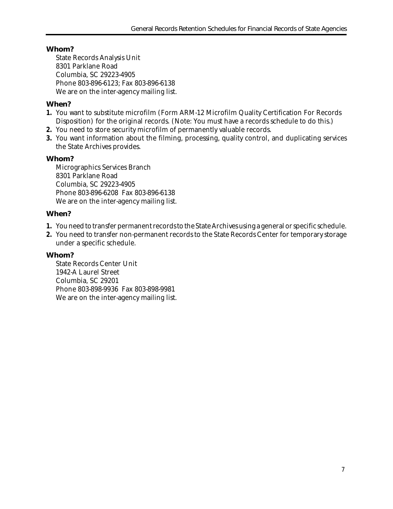# **Whom?**

State Records Analysis Unit 8301 Parklane Road Columbia, SC 29223-4905 Phone 803-896-6123; Fax 803-896-6138 We are on the inter-agency mailing list.

## **When?**

- **1.** You want to substitute microfilm (Form ARM-12 Microfilm Quality Certification For Records Disposition) for the original records. (Note: You must have a records schedule to do this.)
- **2.** You need to store security microfilm of permanently valuable records.
- **3.** You want information about the filming, processing, quality control, and duplicating services the State Archives provides.

#### **Whom?**

Micrographics Services Branch 8301 Parklane Road Columbia, SC 29223-4905 Phone 803-896-6208 Fax 803-896-6138 We are on the inter-agency mailing list.

#### **When?**

- **1.** You need to transfer permanent records to the State Archives using a general or specific schedule.
- **2.** You need to transfer non-permanent records to the State Records Center for temporary storage under a specific schedule.

#### **Whom?**

State Records Center Unit 1942-A Laurel Street Columbia, SC 29201 Phone 803-898-9936 Fax 803-898-9981 We are on the inter-agency mailing list.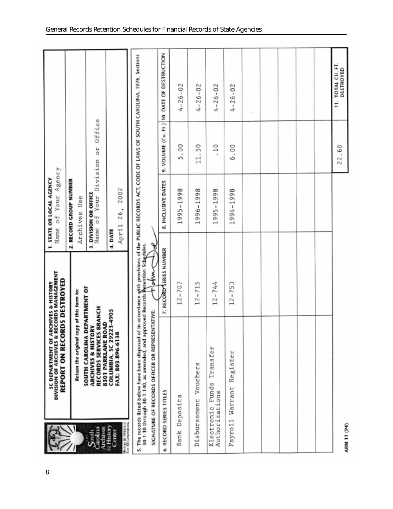|                                                                                | SC DEPARTMENT OF ARCHIVES & HISTORY<br>DIVISION OF ARCHIVES & RECORDS MANAGEMENT<br>REPORT ON RECORDS DESTROYED                                                                                                                                                                                                                                        |                         | Your Agency<br>1. STATE OR LOCAL AGENCY<br>٥f<br>Name            |              |                                             |
|--------------------------------------------------------------------------------|--------------------------------------------------------------------------------------------------------------------------------------------------------------------------------------------------------------------------------------------------------------------------------------------------------------------------------------------------------|-------------------------|------------------------------------------------------------------|--------------|---------------------------------------------|
|                                                                                | Return the original copy of this form to:                                                                                                                                                                                                                                                                                                              |                         | 2. RECORD GROUP NUMBER<br>Archives Use                           |              |                                             |
| $S_{\text{quad}}$                                                              | RECORDS SERVICES BRANCH<br>8301 PARKLANE ROAD<br>ARCHIVES & HISTORY<br><b>SOUTH CAROLINA</b>                                                                                                                                                                                                                                                           | <b>DEPARTMENT OF</b>    | Your Division<br>3. DIVISION OR OFFICE<br>$\overline{5}$<br>Name | Office<br>50 |                                             |
| House & Human<br>For All Generations<br><b>Archives</b><br>& History<br>Center | COLUMBIA, SC 29223-4905<br>FAX: 803-896-6138                                                                                                                                                                                                                                                                                                           |                         | 2002<br>26,<br>April<br>4. DATE                                  |              |                                             |
| ü                                                                              | The records listed below have been disposed of in accordance with provisions of the PUBLIC RECORDS ACT, CODE OF LAWS OF SOUTH CAROLINA, 1976, Sections<br>30-1-10 through 30-1-140, as amended, and approved Records Retention Sc<br>30-1-10 through 30-1-140, as amended, and approved Records<br>ENTATIVE:<br>SIGNATURE OF RECORDS OFFICER OR REPRES | ξ                       | ୫                                                                |              |                                             |
| ی                                                                              | RECORD SERIES TITLES                                                                                                                                                                                                                                                                                                                                   | 7. RECORD SERIES NUMBER | INCLUSIVE DATES<br>øó                                            |              | 9. VOLUME (Cu. Ft.) 10. DATE OF DESTRUCTION |
| <b>Bank</b>                                                                    | œ<br>Deposit                                                                                                                                                                                                                                                                                                                                           | $12 - 707$              | 1998<br>$\,$<br>1995.                                            | °o<br>u٦     | $26 - 02$<br>J                              |
| Disbursement                                                                   | Vouchers                                                                                                                                                                                                                                                                                                                                               | $12 - 715$              | 998<br>$\overline{\phantom{0}}$<br>1<br>1996.                    | S<br>Ë       | $4 - 26 - 02$                               |
| Electronic                                                                     | Transfer<br>Funds<br>Authorizations                                                                                                                                                                                                                                                                                                                    | $12 - 744$              | 1995-1998                                                        | $\Xi$<br>٠   | $4 - 26 - 02$                               |
| Payro11                                                                        | Register<br>Warrant                                                                                                                                                                                                                                                                                                                                    | $12 - 753$              | 1994-1998                                                        | 6.00         | $4 - 26 - 02$                               |
|                                                                                |                                                                                                                                                                                                                                                                                                                                                        |                         |                                                                  |              |                                             |
|                                                                                |                                                                                                                                                                                                                                                                                                                                                        |                         |                                                                  |              |                                             |
|                                                                                |                                                                                                                                                                                                                                                                                                                                                        |                         |                                                                  |              |                                             |
|                                                                                |                                                                                                                                                                                                                                                                                                                                                        |                         |                                                                  |              |                                             |
|                                                                                |                                                                                                                                                                                                                                                                                                                                                        |                         |                                                                  |              |                                             |
| ARM 11 (94)                                                                    |                                                                                                                                                                                                                                                                                                                                                        |                         |                                                                  | 22.60        | TOTAL CU. FT.<br>DESTROYED<br>Ë             |

8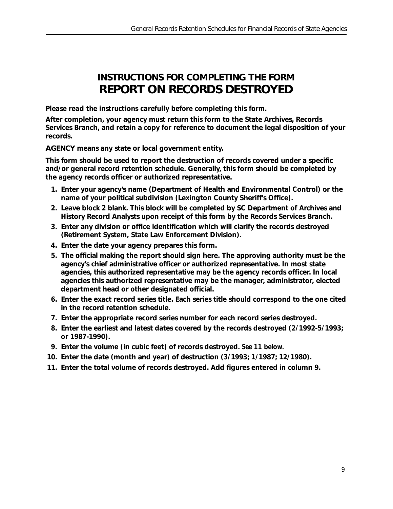# **INSTRUCTIONS FOR COMPLETING THE FORM REPORT ON RECORDS DESTROYED**

## *Please read the instructions carefully before completing this form.*

**After completion, your agency must return this form to the State Archives, Records Services Branch, and retain a copy for reference to document the legal disposition of your records.**

**AGENCY means any state or local government entity.**

**This form should be used to report the destruction of records covered under a specific and/or general record retention schedule. Generally, this form should be completed by the agency records officer or authorized representative.**

- **1. Enter your agency's name (Department of Health and Environmental Control) or the name of your political subdivision (Lexington County Sheriff's Office).**
- **2. Leave block 2 blank. This block will be completed by SC Department of Archives and History Record Analysts upon receipt of this form by the Records Services Branch.**
- **3. Enter any division or office identification which will clarify the records destroyed (Retirement System, State Law Enforcement Division).**
- **4. Enter the date your agency prepares this form.**
- **5. The official making the report should sign here. The approving authority must be the agency's chief administrative officer or authorized representative. In most state agencies, this authorized representative may be the agency records officer. In local agencies this authorized representative may be the manager, administrator, elected department head or other designated official.**
- **6. Enter the exact record series title. Each series title should correspond to the one cited in the record retention schedule.**
- **7. Enter the appropriate record series number for each record series destroyed.**
- **8. Enter the earliest and latest dates covered by the records destroyed (2/1992-5/1993; or 1987-1990).**
- **9. Enter the volume (in cubic feet) of records destroyed.** *See 11 below.*
- **10. Enter the date (month and year) of destruction (3/1993; 1/1987; 12/1980).**
- **11. Enter the total volume of records destroyed. Add figures entered in column 9.**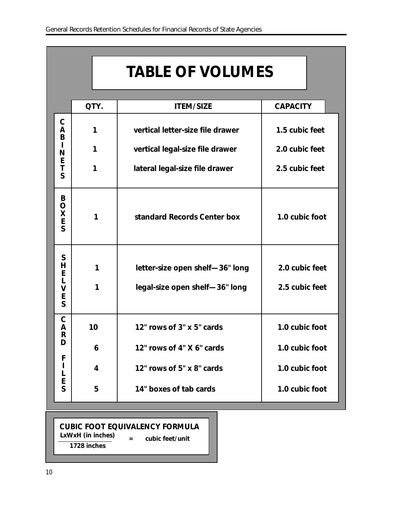# **TABLE OF VOLUMES**

|                                                | QTY.   | <b>ITEM/SIZE</b>                                                  | <b>CAPACITY</b>                  |
|------------------------------------------------|--------|-------------------------------------------------------------------|----------------------------------|
| $\mathsf C$<br>A<br>B<br>N<br>E<br>T<br>S      | 1      | vertical letter-size file drawer                                  | 1.5 cubic feet                   |
|                                                | 1      | vertical legal-size file drawer                                   | 2.0 cubic feet                   |
|                                                | 1      | lateral legal-size file drawer                                    | 2.5 cubic feet                   |
| B<br>$\mathsf O$<br>X<br>E<br>S                | 1      | standard Records Center box                                       | 1.0 cubic foot                   |
| S<br>Н<br>E<br>L<br>$\mathsf{V}$<br>E<br>S     | 1<br>1 | letter-size open shelf-36" long<br>legal-size open shelf-36" long | 2.0 cubic feet<br>2.5 cubic feet |
| $\mathsf C$<br>A<br>$\mathsf R$<br>D<br>F<br>I | 10     | 12" rows of 3" x 5" cards                                         | 1.0 cubic foot                   |
|                                                | 6      | 12" rows of 4" X 6" cards                                         | 1.0 cubic foot                   |
|                                                | 4      | 12" rows of 5" x 8" cards                                         | 1.0 cubic foot                   |
| E<br>S                                         | 5      | 14" boxes of tab cards                                            | 1.0 cubic foot                   |

# **CUBIC FOOT EQUIVALENCY FORMULA**

**LxWxH (in inches) = cubic feet/unit**

**1728 inches**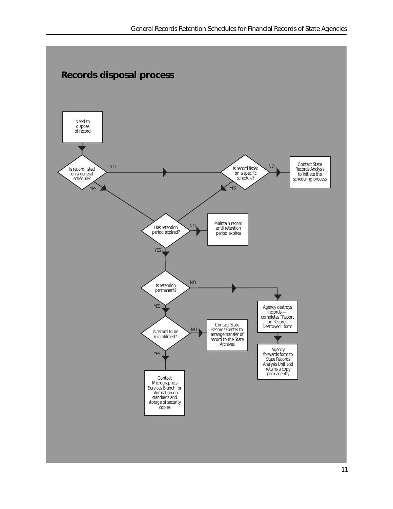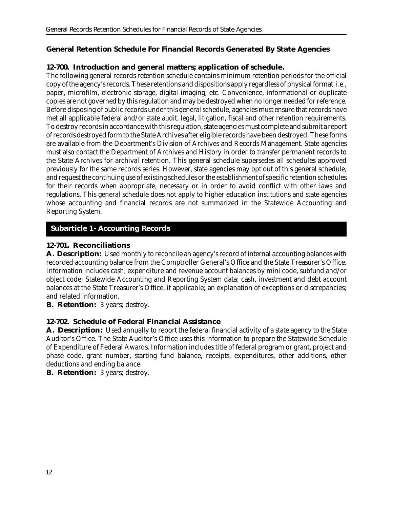# **General Retention Schedule For Financial Records Generated By State Agencies**

## **12-700. Introduction and general matters; application of schedule.**

The following general records retention schedule contains minimum retention periods for the official copy of the agency's records. These retentions and dispositions apply regardless of physical format, i.e., paper, microfilm, electronic storage, digital imaging, etc. Convenience, informational or duplicate copies are not governed by this regulation and may be destroyed when no longer needed for reference. Before disposing of public records under this general schedule, agencies must ensure that records have met all applicable federal and/or state audit, legal, litigation, fiscal and other retention requirements. To destroy records in accordance with this regulation, state agencies must complete and submit a report of records destroyed form to the State Archives after eligible records have been destroyed. These forms are available from the Department's Division of Archives and Records Management. State agencies must also contact the Department of Archives and History in order to transfer permanent records to the State Archives for archival retention. This general schedule supersedes all schedules approved previously for the same records series. However, state agencies may opt out of this general schedule, and request the continuing use of existing schedules or the establishment of specific retention schedules for their records when appropriate, necessary or in order to avoid conflict with other laws and regulations. This general schedule does not apply to higher education institutions and state agencies whose accounting and financial records are not summarized in the Statewide Accounting and Reporting System.

# **Subarticle 1- Accounting Records**

#### **12-701. Reconciliations**

A. Description: Used monthly to reconcile an agency's record of internal accounting balances with recorded accounting balance from the Comptroller General's Office and the State Treasurer's Office. Information includes cash, expenditure and revenue account balances by mini code, subfund and/or object code; Statewide Accounting and Reporting System data; cash, investment and debt account balances at the State Treasurer's Office, if applicable; an explanation of exceptions or discrepancies; and related information.

**B. Retention:** 3 years; destroy.

# **12-702. Schedule of Federal Financial Assistance**

**A. Description:** Used annually to report the federal financial activity of a state agency to the State Auditor's Office. The State Auditor's Office uses this information to prepare the Statewide Schedule of Expenditure of Federal Awards. Information includes title of federal program or grant, project and phase code, grant number, starting fund balance, receipts, expenditures, other additions, other deductions and ending balance.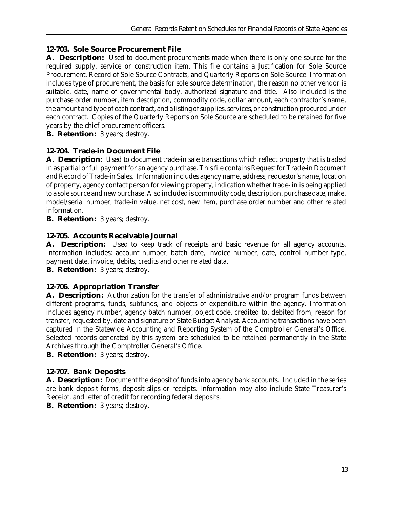# **12-703. Sole Source Procurement File**

**A. Description:** Used to document procurements made when there is only one source for the required supply, service or construction item. This file contains a Justification for Sole Source Procurement, Record of Sole Source Contracts, and Quarterly Reports on Sole Source. Information includes type of procurement, the basis for sole source determination, the reason no other vendor is suitable, date, name of governmental body, authorized signature and title. Also included is the purchase order number, item description, commodity code, dollar amount, each contractor's name, the amount and type of each contract, and a listing of supplies, services, or construction procured under each contract. Copies of the Quarterly Reports on Sole Source are scheduled to be retained for five years by the chief procurement officers.

**B. Retention:** 3 years; destroy.

# **12-704. Trade-in Document File**

**A. Description:** Used to document trade-in sale transactions which reflect property that is traded in as partial or full payment for an agency purchase. This file contains Request for Trade-in Document and Record of Trade-in Sales. Information includes agency name, address, requestor's name, location of property, agency contact person for viewing property, indication whether trade- in is being applied to a sole source and new purchase. Also included is commodity code, description, purchase date, make, model/serial number, trade-in value, net cost, new item, purchase order number and other related information.

**B. Retention:** 3 years; destroy.

# **12-705. Accounts Receivable Journal**

**A. Description:** Used to keep track of receipts and basic revenue for all agency accounts. Information includes: account number, batch date, invoice number, date, control number type, payment date, invoice, debits, credits and other related data.

**B. Retention:** 3 years; destroy.

# **12-706. Appropriation Transfer**

**A. Description:** Authorization for the transfer of administrative and/or program funds between different programs, funds, subfunds, and objects of expenditure within the agency. Information includes agency number, agency batch number, object code, credited to, debited from, reason for transfer, requested by, date and signature of State Budget Analyst. Accounting transactions have been captured in the Statewide Accounting and Reporting System of the Comptroller General's Office. Selected records generated by this system are scheduled to be retained permanently in the State Archives through the Comptroller General's Office.

**B. Retention:** 3 years; destroy.

# **12-707. Bank Deposits**

**A. Description:** Document the deposit of funds into agency bank accounts. Included in the series are bank deposit forms, deposit slips or receipts. Information may also include State Treasurer's Receipt, and letter of credit for recording federal deposits.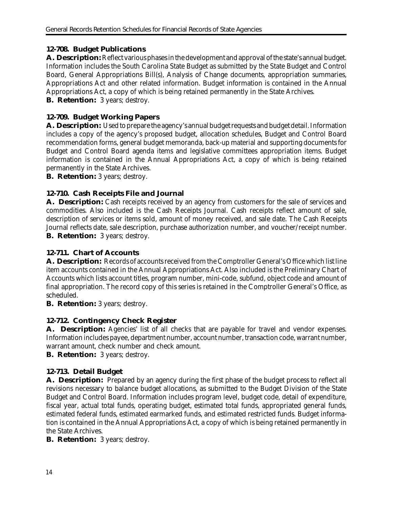# **12-708. Budget Publications**

**A. Description:** Reflect various phases in the development and approval of the state's annual budget. Information includes the South Carolina State Budget as submitted by the State Budget and Control Board, General Appropriations Bill(s), Analysis of Change documents, appropriation summaries, Appropriations Act and other related information. Budget information is contained in the Annual Appropriations Act, a copy of which is being retained permanently in the State Archives. **B. Retention:** 3 years; destroy.

## **12-709. Budget Working Papers**

**A. Description:** Used to prepare the agency's annual budget requests and budget detail. Information includes a copy of the agency's proposed budget, allocation schedules, Budget and Control Board recommendation forms, general budget memoranda, back-up material and supporting documents for Budget and Control Board agenda items and legislative committees appropriation items. Budget information is contained in the Annual Appropriations Act, a copy of which is being retained permanently in the State Archives.

**B. Retention:** 3 years; destroy.

#### **12-710. Cash Receipts File and Journal**

A. **Description:** Cash receipts received by an agency from customers for the sale of services and commodities. Also included is the Cash Receipts Journal. Cash receipts reflect amount of sale, description of services or items sold, amount of money received, and sale date. The Cash Receipts Journal reflects date, sale description, purchase authorization number, and voucher/receipt number. **B. Retention:** 3 years; destroy.

## **12-711. Chart of Accounts**

**A. Description:** Records of accounts received from the Comptroller General's Office which list line item accounts contained in the Annual Appropriations Act. Also included is the Preliminary Chart of Accounts which lists account titles, program number, mini-code, subfund, object code and amount of final appropriation. The record copy of this series is retained in the Comptroller General's Office, as scheduled.

**B. Retention:** 3 years; destroy.

#### **12-712. Contingency Check Register**

A. **Description:** Agencies' list of all checks that are payable for travel and vendor expenses. Information includes payee, department number, account number, transaction code, warrant number, warrant amount, check number and check amount.

**B. Retention:** 3 years; destroy.

# **12-713. Detail Budget**

**A. Description:** Prepared by an agency during the first phase of the budget process to reflect all revisions necessary to balance budget allocations, as submitted to the Budget Division of the State Budget and Control Board. Information includes program level, budget code, detail of expenditure, fiscal year, actual total funds, operating budget, estimated total funds, appropriated general funds, estimated federal funds, estimated earmarked funds, and estimated restricted funds. Budget information is contained in the Annual Appropriations Act, a copy of which is being retained permanently in the State Archives.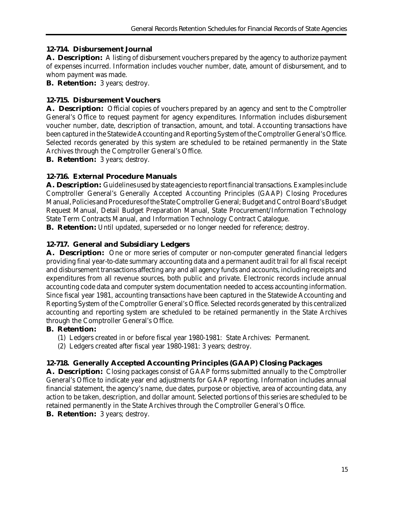## **12-714. Disbursement Journal**

**A. Description:** A listing of disbursement vouchers prepared by the agency to authorize payment of expenses incurred. Information includes voucher number, date, amount of disbursement, and to whom payment was made.

**B. Retention:** 3 years; destroy.

# **12-715. Disbursement Vouchers**

**A. Description:** Official copies of vouchers prepared by an agency and sent to the Comptroller General's Office to request payment for agency expenditures. Information includes disbursement voucher number, date, description of transaction, amount, and total. Accounting transactions have been captured in the Statewide Accounting and Reporting System of the Comptroller General's Office. Selected records generated by this system are scheduled to be retained permanently in the State Archives through the Comptroller General's Office.

**B. Retention:** 3 years; destroy.

# **12-716. External Procedure Manuals**

**A. Description:** Guidelines used by state agencies to report financial transactions. Examples include Comptroller General's Generally Accepted Accounting Principles (GAAP) Closing Procedures Manual, Policies and Procedures of the State Comptroller General; Budget and Control Board's Budget Request Manual, Detail Budget Preparation Manual, State Procurement/Information Technology State Term Contracts Manual, and Information Technology Contract Catalogue.

**B. Retention:** Until updated, superseded or no longer needed for reference; destroy.

# **12-717. General and Subsidiary Ledgers**

**A. Description:** One or more series of computer or non-computer generated financial ledgers providing final year-to-date summary accounting data and a permanent audit trail for all fiscal receipt and disbursement transactions affecting any and all agency funds and accounts, including receipts and expenditures from all revenue sources, both public and private. Electronic records include annual accounting code data and computer system documentation needed to access accounting information. Since fiscal year 1981, accounting transactions have been captured in the Statewide Accounting and Reporting System of the Comptroller General's Office. Selected records generated by this centralized accounting and reporting system are scheduled to be retained permanently in the State Archives through the Comptroller General's Office.

# **B. Retention:**

- (1) Ledgers created in or before fiscal year 1980-1981: State Archives: Permanent.
- (2) Ledgers created after fiscal year 1980-1981: 3 years; destroy.

# **12-718. Generally Accepted Accounting Principles (GAAP) Closing Packages**

**A. Description:** Closing packages consist of GAAP forms submitted annually to the Comptroller General's Office to indicate year end adjustments for GAAP reporting. Information includes annual financial statement, the agency's name, due dates, purpose or objective, area of accounting data, any action to be taken, description, and dollar amount. Selected portions of this series are scheduled to be retained permanently in the State Archives through the Comptroller General's Office.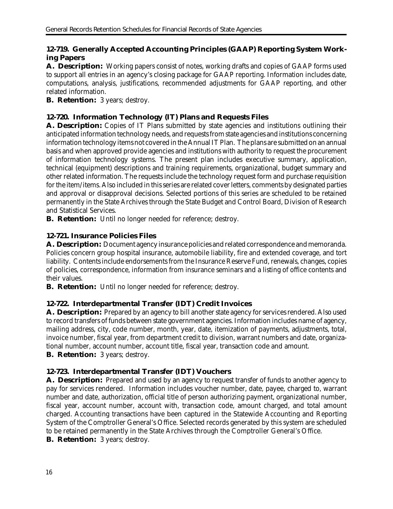# **12-719. Generally Accepted Accounting Principles (GAAP) Reporting System Working Papers**

**A. Description:** Working papers consist of notes, working drafts and copies of GAAP forms used to support all entries in an agency's closing package for GAAP reporting. Information includes date, computations, analysis, justifications, recommended adjustments for GAAP reporting, and other related information.

**B. Retention:** 3 years; destroy.

# **12-720. Information Technology (IT) Plans and Requests Files**

A. Description: Copies of IT Plans submitted by state agencies and institutions outlining their anticipated information technology needs, and requests from state agencies and institutions concerning information technology items not covered in the Annual IT Plan. The plans are submitted on an annual basis and when approved provide agencies and institutions with authority to request the procurement of information technology systems. The present plan includes executive summary, application, technical (equipment) descriptions and training requirements, organizational, budget summary and other related information. The requests include the technology request form and purchase requisition for the item/items. Also included in this series are related cover letters, comments by designated parties and approval or disapproval decisions. Selected portions of this series are scheduled to be retained permanently in the State Archives through the State Budget and Control Board, Division of Research and Statistical Services.

**B. Retention:** Until no longer needed for reference; destroy.

# **12-721. Insurance Policies Files**

**A. Description:** Document agency insurance policies and related correspondence and memoranda. Policies concern group hospital insurance, automobile liability, fire and extended coverage, and tort liability. Contents include endorsements from the Insurance Reserve Fund, renewals, changes, copies of policies, correspondence, information from insurance seminars and a listing of office contents and their values.

**B. Retention:** Until no longer needed for reference; destroy.

# **12-722. Interdepartmental Transfer (IDT) Credit Invoices**

**A. Description:** Prepared by an agency to bill another state agency for services rendered. Also used to record transfers of funds between state government agencies. Information includes name of agency, mailing address, city, code number, month, year, date, itemization of payments, adjustments, total, invoice number, fiscal year, from department credit to division, warrant numbers and date, organizational number, account number, account title, fiscal year, transaction code and amount.

**B. Retention:** 3 years; destroy.

# **12-723. Interdepartmental Transfer (IDT) Vouchers**

**A. Description:** Prepared and used by an agency to request transfer of funds to another agency to pay for services rendered. Information includes voucher number, date, payee, charged to, warrant number and date, authorization, official title of person authorizing payment, organizational number, fiscal year, account number, account with, transaction code, amount charged, and total amount charged. Accounting transactions have been captured in the Statewide Accounting and Reporting System of the Comptroller General's Office. Selected records generated by this system are scheduled to be retained permanently in the State Archives through the Comptroller General's Office.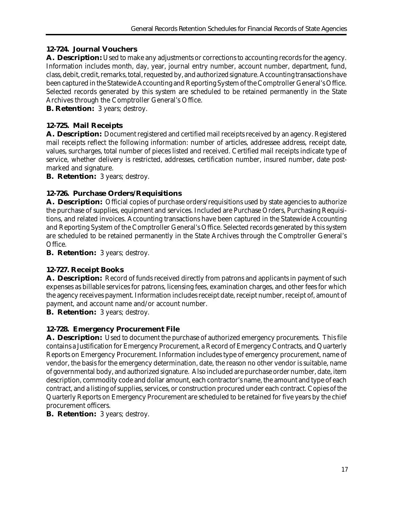# **12-724. Journal Vouchers**

**A. Description:** Used to make any adjustments or corrections to accounting records for the agency. Information includes month, day, year, journal entry number, account number, department, fund, class, debit, credit, remarks, total, requested by, and authorized signature. Accounting transactions have been captured in the Statewide Accounting and Reporting System of the Comptroller General's Office. Selected records generated by this system are scheduled to be retained permanently in the State Archives through the Comptroller General's Office.

**B. Retention:** 3 years; destroy.

# **12-725. Mail Receipts**

**A. Description:** Document registered and certified mail receipts received by an agency. Registered mail receipts reflect the following information: number of articles, addressee address, receipt date, values, surcharges, total number of pieces listed and received. Certified mail receipts indicate type of service, whether delivery is restricted, addresses, certification number, insured number, date postmarked and signature.

**B. Retention:** 3 years; destroy.

# **12-726. Purchase Orders/Requisitions**

A. **Description:** Official copies of purchase orders/requisitions used by state agencies to authorize the purchase of supplies, equipment and services. Included are Purchase Orders, Purchasing Requisitions, and related invoices. Accounting transactions have been captured in the Statewide Accounting and Reporting System of the Comptroller General's Office. Selected records generated by this system are scheduled to be retained permanently in the State Archives through the Comptroller General's Office.

**B. Retention:** 3 years; destroy.

# **12-727. Receipt Books**

**A. Description:** Record of funds received directly from patrons and applicants in payment of such expenses as billable services for patrons, licensing fees, examination charges, and other fees for which the agency receives payment. Information includes receipt date, receipt number, receipt of, amount of payment, and account name and/or account number.

**B. Retention:** 3 years; destroy.

# **12-728. Emergency Procurement File**

**A. Description:** Used to document the purchase of authorized emergency procurements. This file contains a Justification for Emergency Procurement, a Record of Emergency Contracts, and Quarterly Reports on Emergency Procurement. Information includes type of emergency procurement, name of vendor, the basis for the emergency determination, date, the reason no other vendor is suitable, name of governmental body, and authorized signature. Also included are purchase order number, date, item description, commodity code and dollar amount, each contractor's name, the amount and type of each contract, and a listing of supplies, services, or construction procured under each contract. Copies of the Quarterly Reports on Emergency Procurement are scheduled to be retained for five years by the chief procurement officers.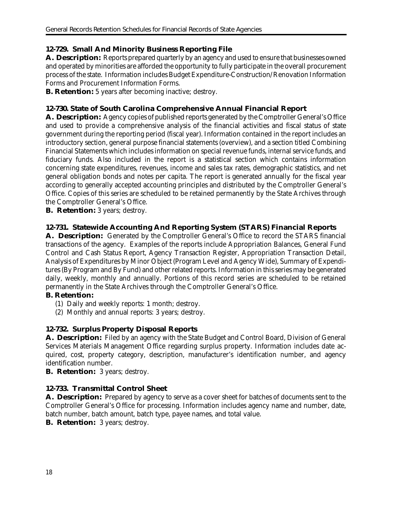#### **12-729. Small And Minority Business Reporting File**

**A. Description:** Reports prepared quarterly by an agency and used to ensure that businesses owned and operated by minorities are afforded the opportunity to fully participate in the overall procurement process of the state. Information includes Budget Expenditure-Construction/Renovation Information Forms and Procurement Information Forms.

**B. Retention:** 5 years after becoming inactive; destroy.

#### **12-730. State of South Carolina Comprehensive Annual Financial Report**

**A. Description:** Agency copies of published reports generated by the Comptroller General's Office and used to provide a comprehensive analysis of the financial activities and fiscal status of state government during the reporting period (fiscal year). Information contained in the report includes an introductory section, general purpose financial statements (overview), and a section titled Combining Financial Statements which includes information on special revenue funds, internal service funds, and fiduciary funds. Also included in the report is a statistical section which contains information concerning state expenditures, revenues, income and sales tax rates, demographic statistics, and net general obligation bonds and notes per capita. The report is generated annually for the fiscal year according to generally accepted accounting principles and distributed by the Comptroller General's Office. Copies of this series are scheduled to be retained permanently by the State Archives through the Comptroller General's Office.

**B. Retention:** 3 years; destroy.

#### **12-731. Statewide Accounting And Reporting System (STARS) Financial Reports**

**A. Description:** Generated by the Comptroller General's Office to record the STARS financial transactions of the agency. Examples of the reports include Appropriation Balances, General Fund Control and Cash Status Report, Agency Transaction Register, Appropriation Transaction Detail, Analysis of Expenditures by Minor Object (Program Level and Agency Wide), Summary of Expenditures (By Program and By Fund) and other related reports. Information in this series may be generated daily, weekly, monthly and annually. Portions of this record series are scheduled to be retained permanently in the State Archives through the Comptroller General's Office.

# **B. Retention:**

- (1) Daily and weekly reports: 1 month; destroy.
- (2) Monthly and annual reports: 3 years; destroy.

# **12-732. Surplus Property Disposal Reports**

**A. Description:** Filed by an agency with the State Budget and Control Board, Division of General Services Materials Management Office regarding surplus property. Information includes date acquired, cost, property category, description, manufacturer's identification number, and agency identification number.

**B. Retention:** 3 years; destroy.

# **12-733. Transmittal Control Sheet**

**A. Description:** Prepared by agency to serve as a cover sheet for batches of documents sent to the Comptroller General's Office for processing. Information includes agency name and number, date, batch number, batch amount, batch type, payee names, and total value.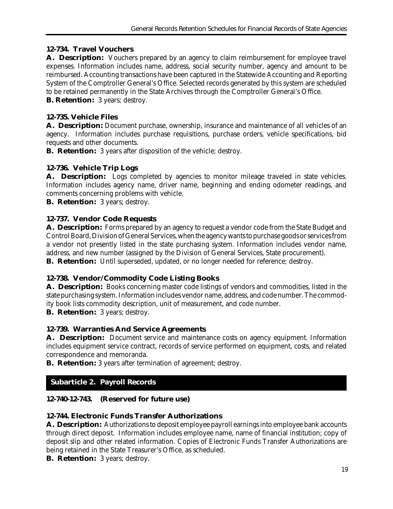# **12-734. Travel Vouchers**

**A. Description:** Vouchers prepared by an agency to claim reimbursement for employee travel expenses. Information includes name, address, social security number, agency and amount to be reimbursed. Accounting transactions have been captured in the Statewide Accounting and Reporting System of the Comptroller General's Office. Selected records generated by this system are scheduled to be retained permanently in the State Archives through the Comptroller General's Office.

**B. Retention:** 3 years; destroy.

# **12-735. Vehicle Files**

**A. Description:** Document purchase, ownership, insurance and maintenance of all vehicles of an agency. Information includes purchase requisitions, purchase orders, vehicle specifications, bid requests and other documents.

**B. Retention:** 3 years after disposition of the vehicle; destroy.

# **12-736. Vehicle Trip Logs**

A. Description: Logs completed by agencies to monitor mileage traveled in state vehicles. Information includes agency name, driver name, beginning and ending odometer readings, and comments concerning problems with vehicle.

**B. Retention:** 3 years; destroy.

# **12-737. Vendor Code Requests**

**A. Description:** Forms prepared by an agency to request a vendor code from the State Budget and Control Board, Division of General Services, when the agency wants to purchase goods or services from a vendor not presently listed in the state purchasing system. Information includes vendor name, address, and new number (assigned by the Division of General Services, State procurement). **B. Retention:** Until superseded, updated, or no longer needed for reference; destroy.

# **12-738. Vendor/Commodity Code Listing Books**

**A. Description:** Books concerning master code listings of vendors and commodities, listed in the state purchasing system. Information includes vendor name, address, and code number. The commodity book lists commodity description, unit of measurement, and code number.

**B. Retention:** 3 years; destroy.

# **12-739. Warranties And Service Agreements**

**A. Description:** Document service and maintenance costs on agency equipment. Information includes equipment service contract, records of service performed on equipment, costs, and related correspondence and memoranda.

**B. Retention:** 3 years after termination of agreement; destroy.

# **Subarticle 2. Payroll Records**

# **12-740-12-743. (Reserved for future use)**

# **12-744. Electronic Funds Transfer Authorizations**

**A. Description:** Authorizations to deposit employee payroll earnings into employee bank accounts through direct deposit. Information includes employee name, name of financial institution; copy of deposit slip and other related information. Copies of Electronic Funds Transfer Authorizations are being retained in the State Treasurer's Office, as scheduled.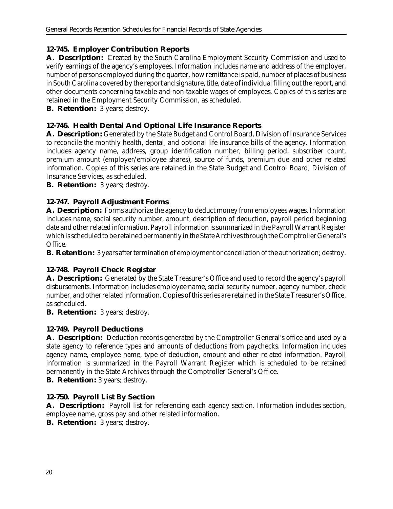## **12-745. Employer Contribution Reports**

**A. Description:** Created by the South Carolina Employment Security Commission and used to verify earnings of the agency's employees. Information includes name and address of the employer, number of persons employed during the quarter, how remittance is paid, number of places of business in South Carolina covered by the report and signature, title, date of individual filling out the report, and other documents concerning taxable and non-taxable wages of employees. Copies of this series are retained in the Employment Security Commission, as scheduled.

**B. Retention:** 3 years; destroy.

## **12-746. Health Dental And Optional Life Insurance Reports**

**A. Description:** Generated by the State Budget and Control Board, Division of Insurance Services to reconcile the monthly health, dental, and optional life insurance bills of the agency. Information includes agency name, address, group identification number, billing period, subscriber count, premium amount (employer/employee shares), source of funds, premium due and other related information. Copies of this series are retained in the State Budget and Control Board, Division of Insurance Services, as scheduled.

**B. Retention:** 3 years; destroy.

# **12-747. Payroll Adjustment Forms**

**A. Description:** Forms authorize the agency to deduct money from employees wages. Information includes name, social security number, amount, description of deduction, payroll period beginning date and other related information. Payroll information is summarized in the Payroll Warrant Register which is scheduled to be retained permanently in the State Archives through the Comptroller General's Office.

**B. Retention:** 3 years after termination of employment or cancellation of the authorization; destroy.

# **12-748. Payroll Check Register**

**A. Description:** Generated by the State Treasurer's Office and used to record the agency's payroll disbursements. Information includes employee name, social security number, agency number, check number, and other related information. Copies of this series are retained in the State Treasurer's Office, as scheduled.

**B. Retention:** 3 years; destroy.

# **12-749. Payroll Deductions**

**A. Description:** Deduction records generated by the Comptroller General's office and used by a state agency to reference types and amounts of deductions from paychecks. Information includes agency name, employee name, type of deduction, amount and other related information. Payroll information is summarized in the Payroll Warrant Register which is scheduled to be retained permanently in the State Archives through the Comptroller General's Office.

**B. Retention:** 3 years; destroy.

# **12-750. Payroll List By Section**

**A. Description:** Payroll list for referencing each agency section. Information includes section, employee name, gross pay and other related information.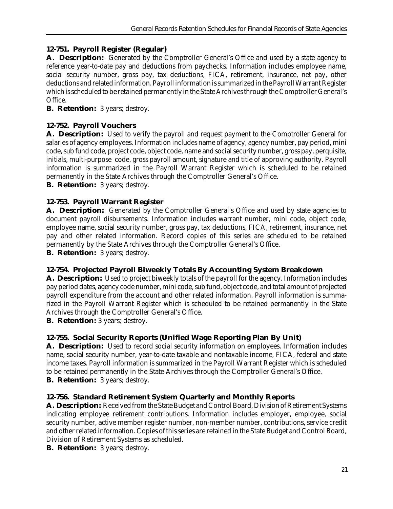# **12-751. Payroll Register (Regular)**

**A. Description:** Generated by the Comptroller General's Office and used by a state agency to reference year-to-date pay and deductions from paychecks. Information includes employee name, social security number, gross pay, tax deductions, FICA, retirement, insurance, net pay, other deductions and related information. Payroll information is summarized in the Payroll Warrant Register which is scheduled to be retained permanently in the State Archives through the Comptroller General's Office.

**B. Retention:** 3 years; destroy.

# **12-752. Payroll Vouchers**

**A. Description:** Used to verify the payroll and request payment to the Comptroller General for salaries of agency employees. Information includes name of agency, agency number, pay period, mini code, sub fund code, project code, object code, name and social security number, gross pay, perquisite, initials, multi-purpose code, gross payroll amount, signature and title of approving authority. Payroll information is summarized in the Payroll Warrant Register which is scheduled to be retained permanently in the State Archives through the Comptroller General's Office.

**B. Retention:** 3 years; destroy.

# **12-753. Payroll Warrant Register**

A. **Description:** Generated by the Comptroller General's Office and used by state agencies to document payroll disbursements. Information includes warrant number, mini code, object code, employee name, social security number, gross pay, tax deductions, FICA, retirement, insurance, net pay and other related information. Record copies of this series are scheduled to be retained permanently by the State Archives through the Comptroller General's Office.

**B. Retention:** 3 years; destroy.

# **12-754. Projected Payroll Biweekly Totals By Accounting System Breakdown**

**A. Description:** Used to project biweekly totals of the payroll for the agency. Information includes pay period dates, agency code number, mini code, sub fund, object code, and total amount of projected payroll expenditure from the account and other related information. Payroll information is summarized in the Payroll Warrant Register which is scheduled to be retained permanently in the State Archives through the Comptroller General's Office.

**B. Retention:** 3 years; destroy.

# **12-755. Social Security Reports (Unified Wage Reporting Plan By Unit)**

**A. Description:** Used to record social security information on employees. Information includes name, social security number, year-to-date taxable and nontaxable income, FICA, federal and state income taxes. Payroll information is summarized in the Payroll Warrant Register which is scheduled to be retained permanently in the State Archives through the Comptroller General's Office. **B. Retention:** 3 years; destroy.

# **12-756. Standard Retirement System Quarterly and Monthly Reports**

**A. Description:** Received from the State Budget and Control Board, Division of Retirement Systems indicating employee retirement contributions. Information includes employer, employee, social security number, active member register number, non-member number, contributions, service credit and other related information. Copies of this series are retained in the State Budget and Control Board, Division of Retirement Systems as scheduled.